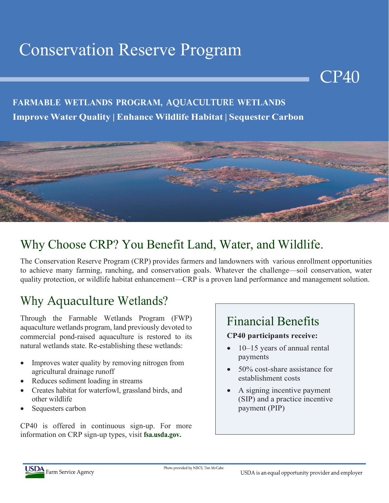# Conservation Reserve Program

### **FARMABLE WETLANDS PROGRAM, AQUACULTURE WETLANDS Improve Water Quality | Enhance Wildlife Habitat | Sequester Carbon**



### Why Choose CRP? You Benefit Land, Water, and Wildlife.

The Conservation Reserve Program (CRP) provides farmers and landowners with various enrollment opportunities to achieve many farming, ranching, and conservation goals. Whatever the challenge—soil conservation, water quality protection, or wildlife habitat enhancement—CRP is a proven land performance and management solution.

### Why Aquaculture Wetlands?

Through the Farmable Wetlands Program (FWP) aquaculture wetlands program, land previously devoted to commercial pond-raised aquaculture is restored to its natural wetlands state. Re-establishing these wetlands:

- Improves water quality by removing nitrogen from agricultural drainage runoff
- Reduces sediment loading in streams
- Creates habitat for waterfowl, grassland birds, and other wildlife
- Sequesters carbon

CP40 is offered in continuous sign-up. For more information on CRP sign-up types, visit **fsa.usda.gov.**

### Financial Benefits

#### **CP40 participants receive:**

• 10–15 years of annual rental payments

CP40

- 50% cost-share assistance for establishment costs
- A signing incentive payment (SIP) and a practice incentive payment (PIP)